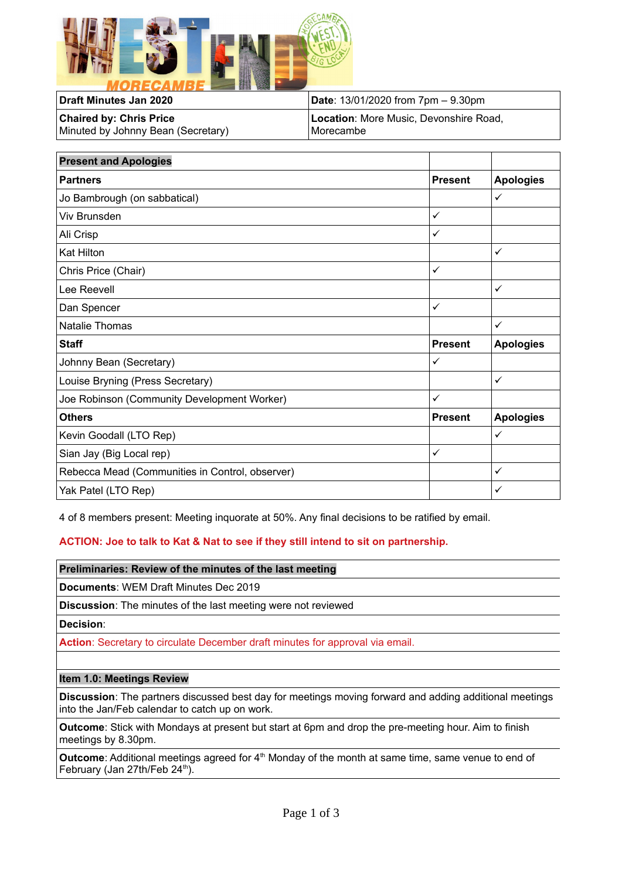

| Draft Minutes Jan 2020             | <b>Date:</b> 13/01/2020 from $7 \text{pm} - 9.30 \text{pm}$ |
|------------------------------------|-------------------------------------------------------------|
| <b>Chaired by: Chris Price</b>     | Location: More Music, Devonshire Road,                      |
| Minuted by Johnny Bean (Secretary) | l Morecambe l                                               |

| <b>Present and Apologies</b>                    |                |                  |
|-------------------------------------------------|----------------|------------------|
| <b>Partners</b>                                 | <b>Present</b> | <b>Apologies</b> |
| Jo Bambrough (on sabbatical)                    |                | ✓                |
| Viv Brunsden                                    | $\checkmark$   |                  |
| Ali Crisp                                       | $\checkmark$   |                  |
| <b>Kat Hilton</b>                               |                | ✓                |
| Chris Price (Chair)                             | $\checkmark$   |                  |
| Lee Reevell                                     |                | ✓                |
| Dan Spencer                                     | $\checkmark$   |                  |
| Natalie Thomas                                  |                | ✓                |
| <b>Staff</b>                                    | <b>Present</b> | <b>Apologies</b> |
| Johnny Bean (Secretary)                         | $\checkmark$   |                  |
| Louise Bryning (Press Secretary)                |                | ✓                |
| Joe Robinson (Community Development Worker)     | $\checkmark$   |                  |
| <b>Others</b>                                   | <b>Present</b> | <b>Apologies</b> |
| Kevin Goodall (LTO Rep)                         |                | ✓                |
| Sian Jay (Big Local rep)                        | $\checkmark$   |                  |
| Rebecca Mead (Communities in Control, observer) |                | ✓                |
| Yak Patel (LTO Rep)                             |                | ✓                |

4 of 8 members present: Meeting inquorate at 50%. Any final decisions to be ratified by email.

# **ACTION: Joe to talk to Kat & Nat to see if they still intend to sit on partnership.**

**Preliminaries: Review of the minutes of the last meeting**

**Documents**: WEM Draft Minutes Dec 2019

**Discussion**: The minutes of the last meeting were not reviewed

**Decision**:

**Action**: Secretary to circulate December draft minutes for approval via email.

#### **Item 1.0: Meetings Review**

**Discussion**: The partners discussed best day for meetings moving forward and adding additional meetings into the Jan/Feb calendar to catch up on work.

**Outcome**: Stick with Mondays at present but start at 6pm and drop the pre-meeting hour. Aim to finish meetings by 8.30pm.

Outcome: Additional meetings agreed for 4<sup>th</sup> Monday of the month at same time, same venue to end of February (Jan 27th/Feb  $24^{\text{th}}$ ).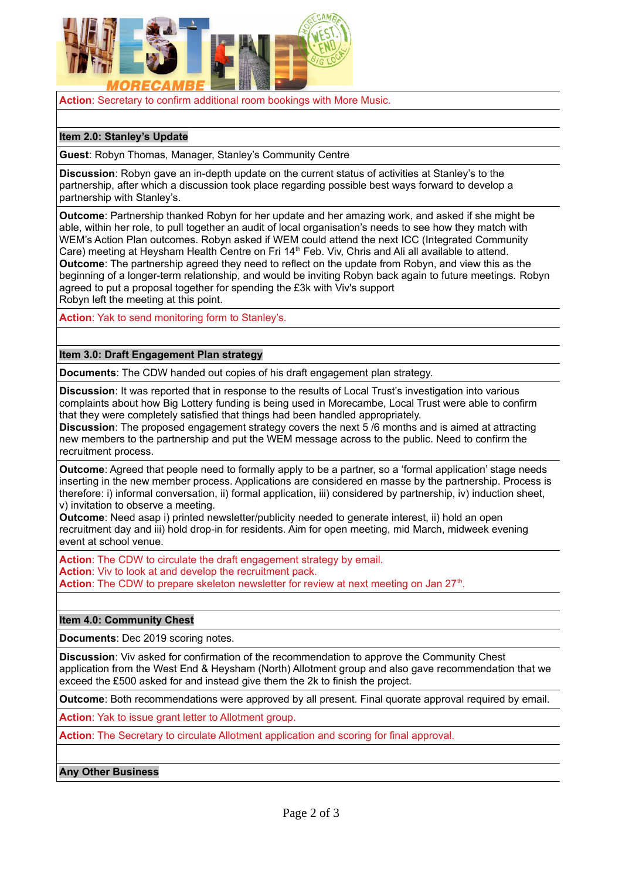

**Action**: Secretary to confirm additional room bookings with More Music.

## **Item 2.0: Stanley's Update**

**Guest**: Robyn Thomas, Manager, Stanley's Community Centre

**Discussion**: Robyn gave an in-depth update on the current status of activities at Stanley's to the partnership, after which a discussion took place regarding possible best ways forward to develop a partnership with Stanley's.

**Outcome**: Partnership thanked Robyn for her update and her amazing work, and asked if she might be able, within her role, to pull together an audit of local organisation's needs to see how they match with WEM's Action Plan outcomes. Robyn asked if WEM could attend the next ICC (Integrated Community Care) meeting at Heysham Health Centre on Fri 14<sup>th</sup> Feb. Viv, Chris and Ali all available to attend. **Outcome**: The partnership agreed they need to reflect on the update from Robyn, and view this as the beginning of a longer-term relationship, and would be inviting Robyn back again to future meetings. Robyn agreed to put a proposal together for spending the £3k with Viv's support Robyn left the meeting at this point.

**Action**: Yak to send monitoring form to Stanley's.

### **Item 3.0: Draft Engagement Plan strategy**

**Documents**: The CDW handed out copies of his draft engagement plan strategy.

**Discussion**: It was reported that in response to the results of Local Trust's investigation into various complaints about how Big Lottery funding is being used in Morecambe, Local Trust were able to confirm that they were completely satisfied that things had been handled appropriately.

**Discussion**: The proposed engagement strategy covers the next 5 /6 months and is aimed at attracting new members to the partnership and put the WEM message across to the public. Need to confirm the recruitment process.

**Outcome**: Agreed that people need to formally apply to be a partner, so a 'formal application' stage needs inserting in the new member process. Applications are considered en masse by the partnership. Process is therefore: i) informal conversation, ii) formal application, iii) considered by partnership, iv) induction sheet, v) invitation to observe a meeting.

**Outcome**: Need asap i) printed newsletter/publicity needed to generate interest, ii) hold an open recruitment day and iii) hold drop-in for residents. Aim for open meeting, mid March, midweek evening event at school venue.

**Action:** The CDW to circulate the draft engagement strategy by email. **Action**: Viv to look at and develop the recruitment pack. Action: The CDW to prepare skeleton newsletter for review at next meeting on Jan 27<sup>th</sup>.

### **Item 4.0: Community Chest**

**Documents**: Dec 2019 scoring notes.

**Discussion**: Viv asked for confirmation of the recommendation to approve the Community Chest application from the West End & Heysham (North) Allotment group and also gave recommendation that we exceed the £500 asked for and instead give them the 2k to finish the project.

**Outcome**: Both recommendations were approved by all present. Final quorate approval required by email.

**Action**: Yak to issue grant letter to Allotment group.

**Action**: The Secretary to circulate Allotment application and scoring for final approval.

### **Any Other Business**